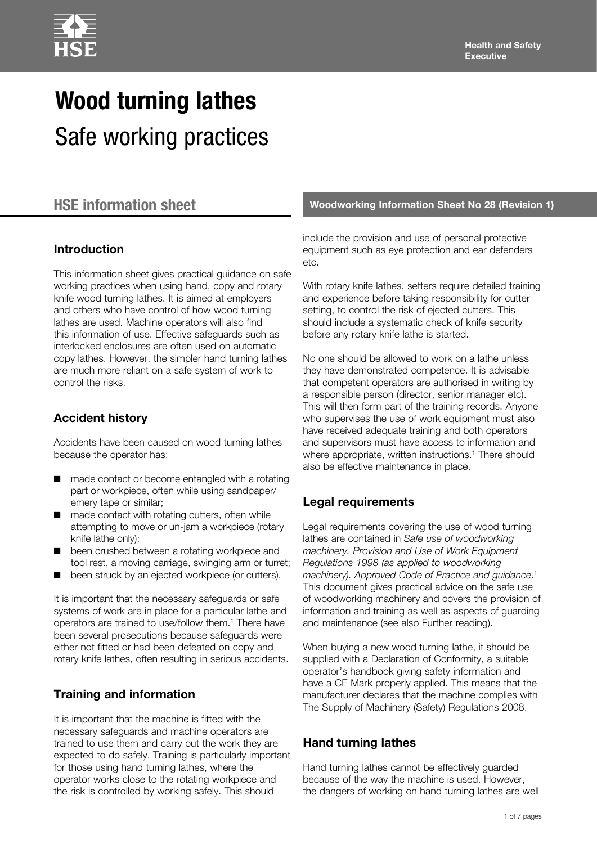

# **Wood turning lathes** Safe working practices

# **Introduction**

This information sheet gives practical guidance on safe working practices when using hand, copy and rotary knife wood turning lathes. It is aimed at employers and others who have control of how wood turning lathes are used. Machine operators will also find this information of use. Effective safeguards such as interlocked enclosures are often used on automatic copy lathes. However, the simpler hand turning lathes are much more reliant on a safe system of work to control the risks.

# **Accident history**

Accidents have been caused on wood turning lathes because the operator has:

- made contact or become entangled with a rotating part or workpiece, often while using sandpaper/ emery tape or similar;
- made contact with rotating cutters, often while attempting to move or un-jam a workpiece (rotary knife lathe only);
- been crushed between a rotating workpiece and tool rest, a moving carriage, swinging arm or turret;
- been struck by an ejected workpiece (or cutters).

It is important that the necessary safeguards or safe systems of work are in place for a particular lathe and operators are trained to use/follow them.<sup>1</sup> There have been several prosecutions because safeguards were either not fitted or had been defeated on copy and rotary knife lathes, often resulting in serious accidents.

## **Training and information**

It is important that the machine is fitted with the necessary safeguards and machine operators are trained to use them and carry out the work they are expected to do safely. Training is particularly important for those using hand turning lathes, where the operator works close to the rotating workpiece and the risk is controlled by working safely. This should

**HSE information sheet Woodworking Information Sheet No 28 (Revision 1)**

include the provision and use of personal protective equipment such as eye protection and ear defenders etc.

With rotary knife lathes, setters require detailed training and experience before taking responsibility for cutter setting, to control the risk of ejected cutters. This should include a systematic check of knife security before any rotary knife lathe is started.

No one should be allowed to work on a lathe unless they have demonstrated competence. It is advisable that competent operators are authorised in writing by a responsible person (director, senior manager etc). This will then form part of the training records. Anyone who supervises the use of work equipment must also have received adequate training and both operators and supervisors must have access to information and where appropriate, written instructions.<sup>1</sup> There should also be effective maintenance in place.

# **Legal requirements**

Legal requirements covering the use of wood turning lathes are contained in *Safe use of woodworking machinery. Provision and Use of Work Equipment Regulations 1998 (as applied to woodworking machinery). Approved Code of Practice and guidance*. 1 This document gives practical advice on the safe use of woodworking machinery and covers the provision of information and training as well as aspects of guarding and maintenance (see also Further reading).

When buying a new wood turning lathe, it should be supplied with a Declaration of Conformity, a suitable operator's handbook giving safety information and have a CE Mark properly applied. This means that the manufacturer declares that the machine complies with The Supply of Machinery (Safety) Regulations 2008.

# **Hand turning lathes**

Hand turning lathes cannot be effectively guarded because of the way the machine is used. However, the dangers of working on hand turning lathes are well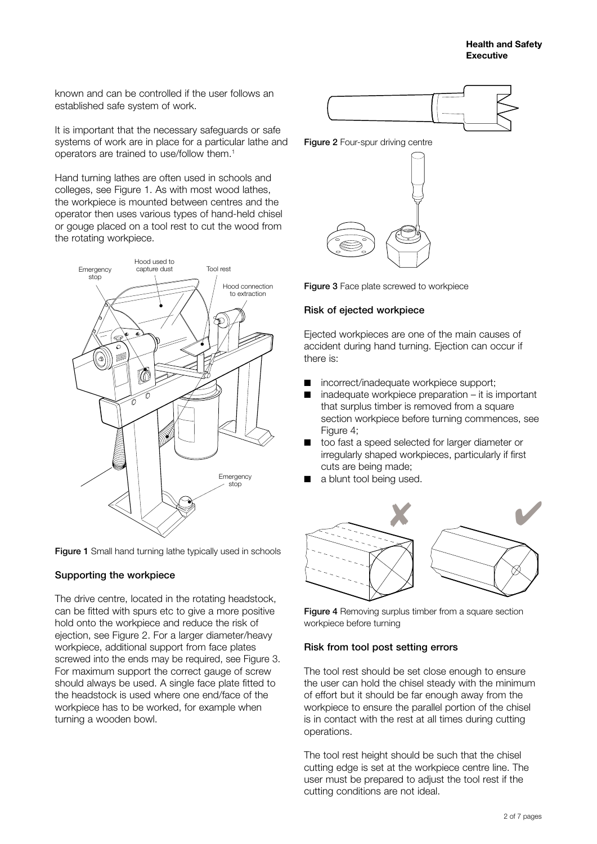known and can be controlled if the user follows an established safe system of work.

It is important that the necessary safeguards or safe systems of work are in place for a particular lathe and operators are trained to use/follow them.1

Hand turning lathes are often used in schools and colleges, see Figure 1. As with most wood lathes, the workpiece is mounted between centres and the operator then uses various types of hand-held chisel or gouge placed on a tool rest to cut the wood from the rotating workpiece.



Figure 1 Small hand turning lathe typically used in schools

#### Supporting the workpiece

The drive centre, located in the rotating headstock, can be fitted with spurs etc to give a more positive hold onto the workpiece and reduce the risk of ejection, see Figure 2. For a larger diameter/heavy workpiece, additional support from face plates screwed into the ends may be required, see Figure 3. For maximum support the correct gauge of screw should always be used. A single face plate fitted to the headstock is used where one end/face of the workpiece has to be worked, for example when turning a wooden bowl.



Figure 2 Four-spur driving centre



Figure 3 Face plate screwed to workpiece

#### Risk of ejected workpiece

Ejected workpieces are one of the main causes of accident during hand turning. Ejection can occur if there is:

- incorrect/inadequate workpiece support;
- $inad$ equate workpiece preparation it is important that surplus timber is removed from a square section workpiece before turning commences, see Figure 4;
- too fast a speed selected for larger diameter or irregularly shaped workpieces, particularly if first cuts are being made;
- a blunt tool being used.



Figure 4 Removing surplus timber from a square section workpiece before turning

#### Risk from tool post setting errors

The tool rest should be set close enough to ensure the user can hold the chisel steady with the minimum of effort but it should be far enough away from the workpiece to ensure the parallel portion of the chisel is in contact with the rest at all times during cutting operations.

The tool rest height should be such that the chisel cutting edge is set at the workpiece centre line. The user must be prepared to adjust the tool rest if the cutting conditions are not ideal.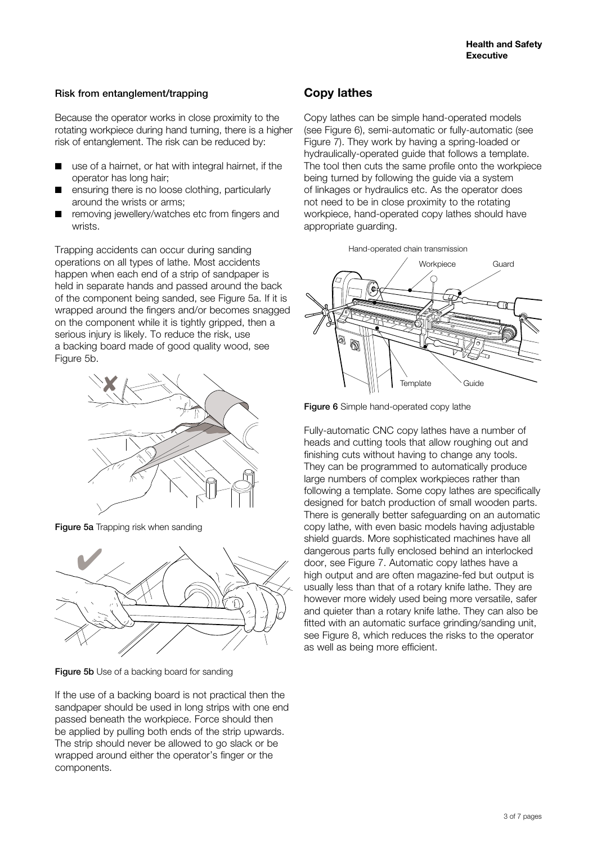#### Risk from entanglement/trapping

Because the operator works in close proximity to the rotating workpiece during hand turning, there is a higher risk of entanglement. The risk can be reduced by:

- use of a hairnet, or hat with integral hairnet, if the operator has long hair;
- ensuring there is no loose clothing, particularly around the wrists or arms;
- removing jewellery/watches etc from fingers and wrists.

Trapping accidents can occur during sanding operations on all types of lathe. Most accidents happen when each end of a strip of sandpaper is held in separate hands and passed around the back of the component being sanded, see Figure 5a. If it is wrapped around the fingers and/or becomes snagged on the component while it is tightly gripped, then a serious injury is likely. To reduce the risk, use a backing board made of good quality wood, see Figure 5b.



Figure 5a Trapping risk when sanding



Figure 5b Use of a backing board for sanding

If the use of a backing board is not practical then the sandpaper should be used in long strips with one end passed beneath the workpiece. Force should then be applied by pulling both ends of the strip upwards. The strip should never be allowed to go slack or be wrapped around either the operator's finger or the components.

# **Copy lathes**

Copy lathes can be simple hand-operated models (see Figure 6), semi-automatic or fully-automatic (see Figure 7). They work by having a spring-loaded or hydraulically-operated guide that follows a template. The tool then cuts the same profile onto the workpiece being turned by following the guide via a system of linkages or hydraulics etc. As the operator does not need to be in close proximity to the rotating workpiece, hand-operated copy lathes should have appropriate guarding.





Figure 6 Simple hand-operated copy lathe

Fully-automatic CNC copy lathes have a number of heads and cutting tools that allow roughing out and finishing cuts without having to change any tools. They can be programmed to automatically produce large numbers of complex workpieces rather than following a template. Some copy lathes are specifically designed for batch production of small wooden parts. There is generally better safeguarding on an automatic copy lathe, with even basic models having adjustable shield guards. More sophisticated machines have all dangerous parts fully enclosed behind an interlocked door, see Figure 7. Automatic copy lathes have a high output and are often magazine-fed but output is usually less than that of a rotary knife lathe. They are however more widely used being more versatile, safer and quieter than a rotary knife lathe. They can also be fitted with an automatic surface grinding/sanding unit, see Figure 8, which reduces the risks to the operator as well as being more efficient.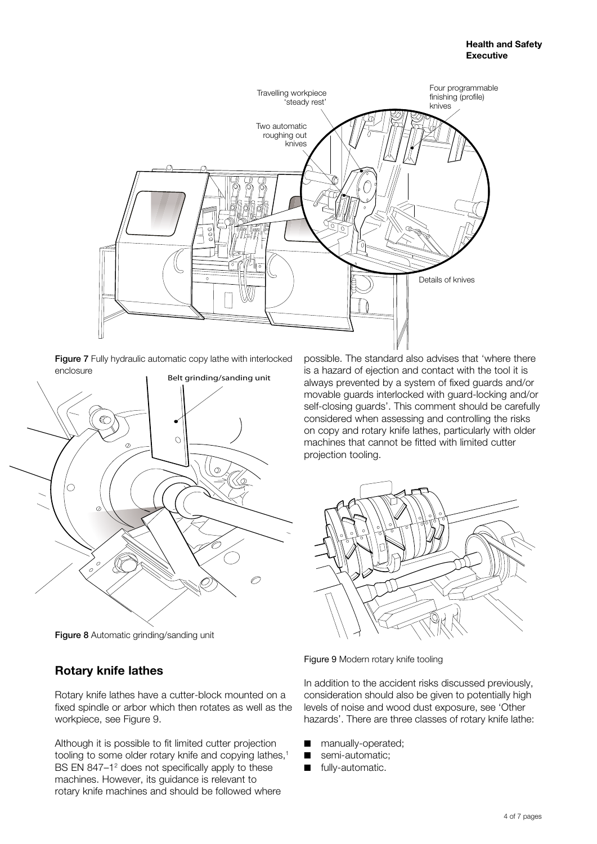

Figure 7 Fully hydraulic automatic copy lathe with interlocked enclosure



Figure 8 Automatic grinding/sanding unit

# **Rotary knife lathes**

Rotary knife lathes have a cutter-block mounted on a fixed spindle or arbor which then rotates as well as the workpiece, see Figure 9.

Although it is possible to fit limited cutter projection tooling to some older rotary knife and copying lathes,<sup>1</sup> BS EN 847-1<sup>2</sup> does not specifically apply to these machines. However, its guidance is relevant to rotary knife machines and should be followed where

possible. The standard also advises that 'where there is a hazard of ejection and contact with the tool it is always prevented by a system of fixed guards and/or movable guards interlocked with guard-locking and/or self-closing guards'. This comment should be carefully considered when assessing and controlling the risks on copy and rotary knife lathes, particularly with older machines that cannot be fitted with limited cutter projection tooling.



Figure 9 Modern rotary knife tooling

In addition to the accident risks discussed previously, consideration should also be given to potentially high levels of noise and wood dust exposure, see 'Other hazards'. There are three classes of rotary knife lathe:

- manually-operated;
- semi-automatic;
- fully-automatic.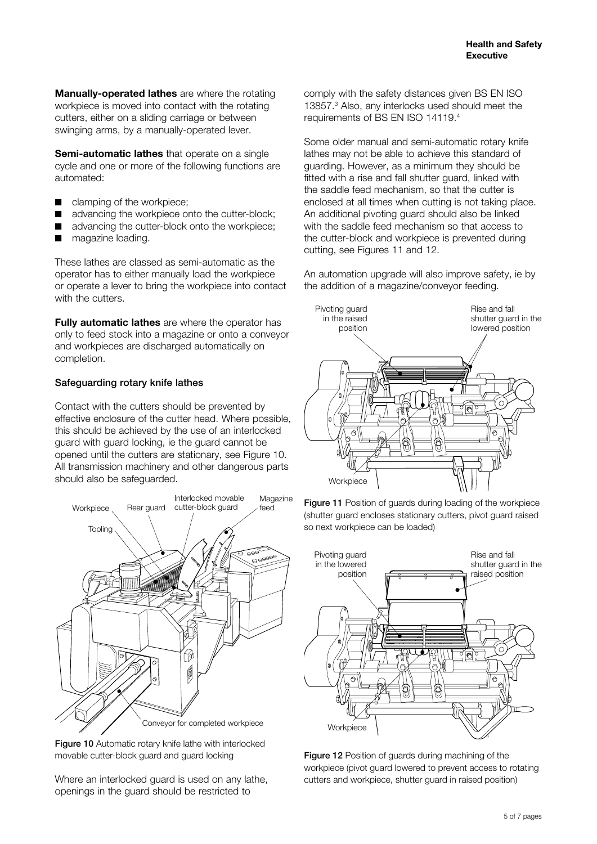**Manually-operated lathes** are where the rotating workpiece is moved into contact with the rotating cutters, either on a sliding carriage or between swinging arms, by a manually-operated lever.

**Semi-automatic lathes** that operate on a single cycle and one or more of the following functions are automated:

- clamping of the workpiece;
- advancing the workpiece onto the cutter-block;
- advancing the cutter-block onto the workpiece;
- magazine loading.

These lathes are classed as semi-automatic as the operator has to either manually load the workpiece or operate a lever to bring the workpiece into contact with the cutters.

**Fully automatic lathes** are where the operator has only to feed stock into a magazine or onto a conveyor and workpieces are discharged automatically on completion.

### Safeguarding rotary knife lathes

Contact with the cutters should be prevented by effective enclosure of the cutter head. Where possible, this should be achieved by the use of an interlocked guard with guard locking, ie the guard cannot be opened until the cutters are stationary, see Figure 10. All transmission machinery and other dangerous parts should also be safeguarded.



Figure 10 Automatic rotary knife lathe with interlocked movable cutter-block guard and guard locking

Where an interlocked guard is used on any lathe, openings in the guard should be restricted to

comply with the safety distances given BS EN ISO 13857.3 Also, any interlocks used should meet the requirements of BS EN ISO 14119.4

Some older manual and semi-automatic rotary knife lathes may not be able to achieve this standard of guarding. However, as a minimum they should be fitted with a rise and fall shutter guard, linked with the saddle feed mechanism, so that the cutter is enclosed at all times when cutting is not taking place. An additional pivoting guard should also be linked with the saddle feed mechanism so that access to the cutter-block and workpiece is prevented during cutting, see Figures 11 and 12.

An automation upgrade will also improve safety, ie by the addition of a magazine/conveyor feeding.



Figure 11 Position of guards during loading of the workpiece (shutter guard encloses stationary cutters, pivot guard raised so next workpiece can be loaded)



Figure 12 Position of guards during machining of the workpiece (pivot guard lowered to prevent access to rotating cutters and workpiece, shutter guard in raised position)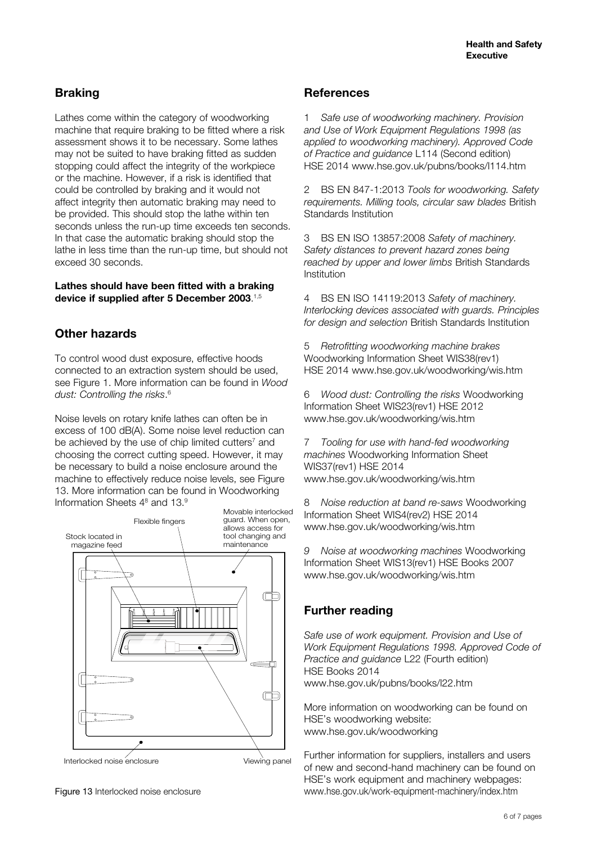# **Braking**

Lathes come within the category of woodworking machine that require braking to be fitted where a risk assessment shows it to be necessary. Some lathes may not be suited to have braking fitted as sudden stopping could affect the integrity of the workpiece or the machine. However, if a risk is identified that could be controlled by braking and it would not affect integrity then automatic braking may need to be provided. This should stop the lathe within ten seconds unless the run-up time exceeds ten seconds. In that case the automatic braking should stop the lathe in less time than the run-up time, but should not exceed 30 seconds.

#### **Lathes should have been fitted with a braking device if supplied after 5 December 2003**. 1,5

# **Other hazards**

To control wood dust exposure, effective hoods connected to an extraction system should be used, see Figure 1. More information can be found in *Wood dust: Controlling the risks*. 6

Noise levels on rotary knife lathes can often be in excess of 100 dB(A). Some noise level reduction can be achieved by the use of chip limited cutters<sup>7</sup> and choosing the correct cutting speed. However, it may be necessary to build a noise enclosure around the machine to effectively reduce noise levels, see Figure 13. More information can be found in Woodworking Information Sheets 4<sup>8</sup> and 13.<sup>9</sup>



Figure 13 Interlocked noise enclosure

### **References**

1 *Safe use of woodworking machinery. Provision and Use of Work Equipment Regulations 1998 (as applied to woodworking machinery). Approved Code of Practice and guidance* L114 (Second edition) HSE 2014 <www.hse.gov.uk/pubns/books/l114.htm>

2 BS EN 847-1:2013 *Tools for woodworking. Safety requirements. Milling tools, circular saw blades* British Standards Institution

3 BS EN ISO 13857:2008 *Safety of machinery. Safety distances to prevent hazard zones being reached by upper and lower limbs* British Standards Institution

4 BS EN ISO 14119:2013 *Safety of machinery. Interlocking devices associated with guards. Principles for design and selection* British Standards Institution

5 *Retrofitting woodworking machine brakes*  Woodworking Information Sheet WIS38(rev1) HSE 2014 <www.hse.gov.uk/woodworking/wis.htm>

6 *Wood dust: Controlling the risks* Woodworking Information Sheet WIS23(rev1) HSE 2012 <www.hse.gov.uk/woodworking/wis.htm>

7 *Tooling for use with hand-fed woodworking machines* Woodworking Information Sheet WIS37(rev1) HSE 2014 <www.hse.gov.uk/woodworking/wis.htm>

8 *Noise reduction at band re-saws* Woodworking Information Sheet WIS4(rev2) HSE 2014 <www.hse.gov.uk/woodworking/wis.htm>

*9 Noise at woodworking machines* Woodworking Information Sheet WIS13(rev1) HSE Books 2007 <www.hse.gov.uk/woodworking/wis.htm>

# **Further reading**

*Safe use of work equipment. Provision and Use of Work Equipment Regulations 1998. Approved Code of Practice and guidance* L22 (Fourth edition) HSE Books 2014 <www.hse.gov.uk/pubns/books/l22.htm>

More information on woodworking can be found on HSE's woodworking website: <www.hse.gov.uk/woodworking>

Further information for suppliers, installers and users of new and second-hand machinery can be found on HSE's work equipment and machinery webpages: <www.hse.gov.uk/work-equipment-machinery/index.htm>